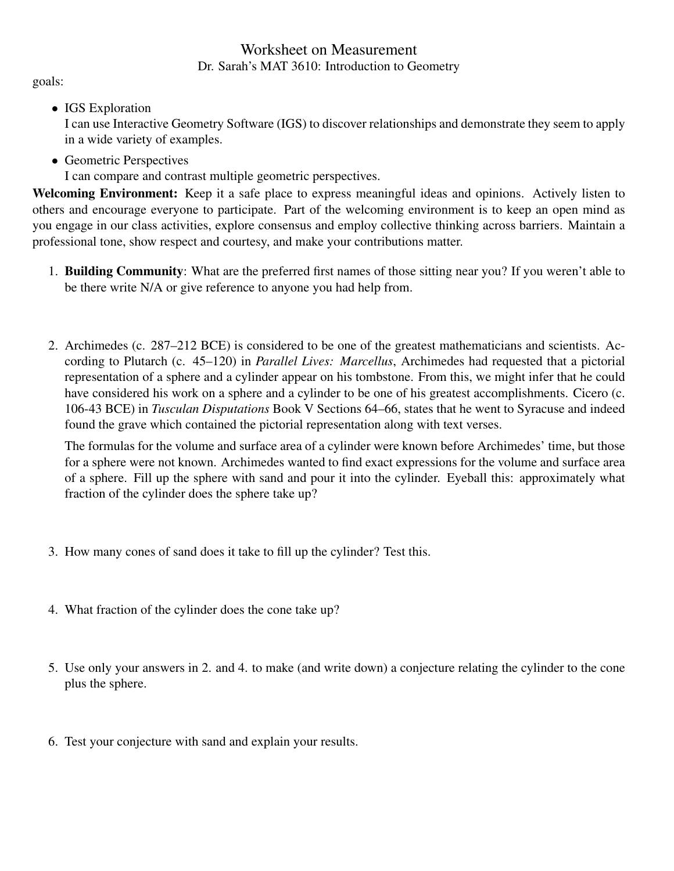## Worksheet on Measurement Dr. Sarah's MAT 3610: Introduction to Geometry

goals:

• IGS Exploration

I can use Interactive Geometry Software (IGS) to discover relationships and demonstrate they seem to apply in a wide variety of examples.

• Geometric Perspectives I can compare and contrast multiple geometric perspectives.

Welcoming Environment: Keep it a safe place to express meaningful ideas and opinions. Actively listen to others and encourage everyone to participate. Part of the welcoming environment is to keep an open mind as you engage in our class activities, explore consensus and employ collective thinking across barriers. Maintain a professional tone, show respect and courtesy, and make your contributions matter.

- 1. Building Community: What are the preferred first names of those sitting near you? If you weren't able to be there write N/A or give reference to anyone you had help from.
- 2. Archimedes (c. 287–212 BCE) is considered to be one of the greatest mathematicians and scientists. According to Plutarch (c. 45–120) in *Parallel Lives: Marcellus*, Archimedes had requested that a pictorial representation of a sphere and a cylinder appear on his tombstone. From this, we might infer that he could have considered his work on a sphere and a cylinder to be one of his greatest accomplishments. Cicero (c. 106-43 BCE) in *Tusculan Disputations* Book V Sections 64–66, states that he went to Syracuse and indeed found the grave which contained the pictorial representation along with text verses.

The formulas for the volume and surface area of a cylinder were known before Archimedes' time, but those for a sphere were not known. Archimedes wanted to find exact expressions for the volume and surface area of a sphere. Fill up the sphere with sand and pour it into the cylinder. Eyeball this: approximately what fraction of the cylinder does the sphere take up?

- 3. How many cones of sand does it take to fill up the cylinder? Test this.
- 4. What fraction of the cylinder does the cone take up?
- 5. Use only your answers in 2. and 4. to make (and write down) a conjecture relating the cylinder to the cone plus the sphere.
- 6. Test your conjecture with sand and explain your results.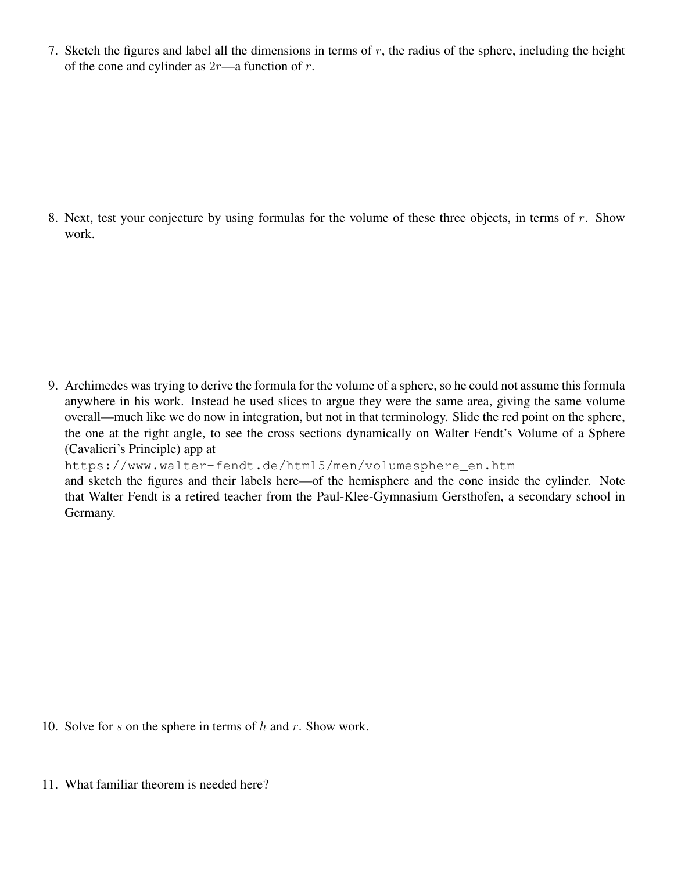7. Sketch the figures and label all the dimensions in terms of  $r$ , the radius of the sphere, including the height of the cone and cylinder as  $2r$ —a function of r.

8. Next, test your conjecture by using formulas for the volume of these three objects, in terms of  $r$ . Show work.

9. Archimedes was trying to derive the formula for the volume of a sphere, so he could not assume this formula anywhere in his work. Instead he used slices to argue they were the same area, giving the same volume overall—much like we do now in integration, but not in that terminology. Slide the red point on the sphere, the one at the right angle, to see the cross sections dynamically on Walter Fendt's Volume of a Sphere (Cavalieri's Principle) app at

```
https://www.walter-fendt.de/html5/men/volumesphere_en.htm
and sketch the figures and their labels here—of the hemisphere and the cone inside the cylinder. Note
that Walter Fendt is a retired teacher from the Paul-Klee-Gymnasium Gersthofen, a secondary school in
Germany.
```
- 10. Solve for s on the sphere in terms of  $h$  and  $r$ . Show work.
- 11. What familiar theorem is needed here?